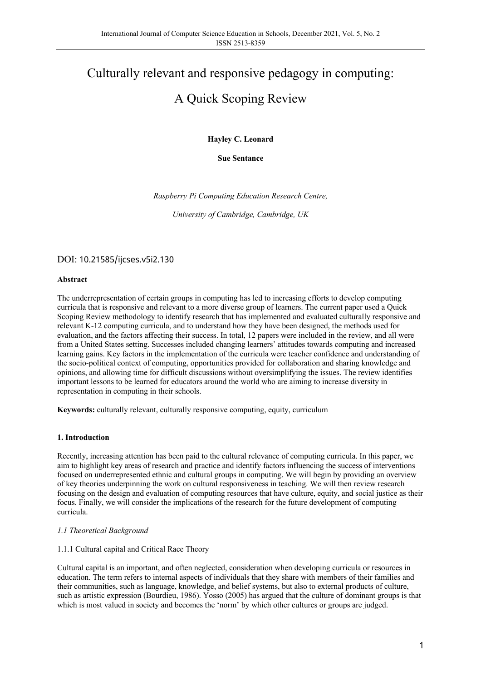# Culturally relevant and responsive pedagogy in computing: A Quick Scoping Review

**Hayley C. Leonard** 

**Sue Sentance**

*Raspberry Pi Computing Education Research Centre,* 

*University of Cambridge, Cambridge, UK*

DOI: 10.21585/ijcses.v5i2.130

### **Abstract**

The underrepresentation of certain groups in computing has led to increasing efforts to develop computing curricula that is responsive and relevant to a more diverse group of learners. The current paper used a Quick Scoping Review methodology to identify research that has implemented and evaluated culturally responsive and relevant K-12 computing curricula, and to understand how they have been designed, the methods used for evaluation, and the factors affecting their success. In total, 12 papers were included in the review, and all were from a United States setting. Successes included changing learners' attitudes towards computing and increased learning gains. Key factors in the implementation of the curricula were teacher confidence and understanding of the socio-political context of computing, opportunities provided for collaboration and sharing knowledge and opinions, and allowing time for difficult discussions without oversimplifying the issues. The review identifies important lessons to be learned for educators around the world who are aiming to increase diversity in representation in computing in their schools.

**Keywords:** culturally relevant, culturally responsive computing, equity, curriculum

#### **1. Introduction**

Recently, increasing attention has been paid to the cultural relevance of computing curricula. In this paper, we aim to highlight key areas of research and practice and identify factors influencing the success of interventions focused on underrepresented ethnic and cultural groups in computing. We will begin by providing an overview of key theories underpinning the work on cultural responsiveness in teaching. We will then review research focusing on the design and evaluation of computing resources that have culture, equity, and social justice as their focus. Finally, we will consider the implications of the research for the future development of computing curricula.

#### *1.1 Theoretical Background*

#### 1.1.1 Cultural capital and Critical Race Theory

Cultural capital is an important, and often neglected, consideration when developing curricula or resources in education. The term refers to internal aspects of individuals that they share with members of their families and their communities, such as language, knowledge, and belief systems, but also to external products of culture, such as artistic expression (Bourdieu, 1986). Yosso (2005) has argued that the culture of dominant groups is that which is most valued in society and becomes the 'norm' by which other cultures or groups are judged.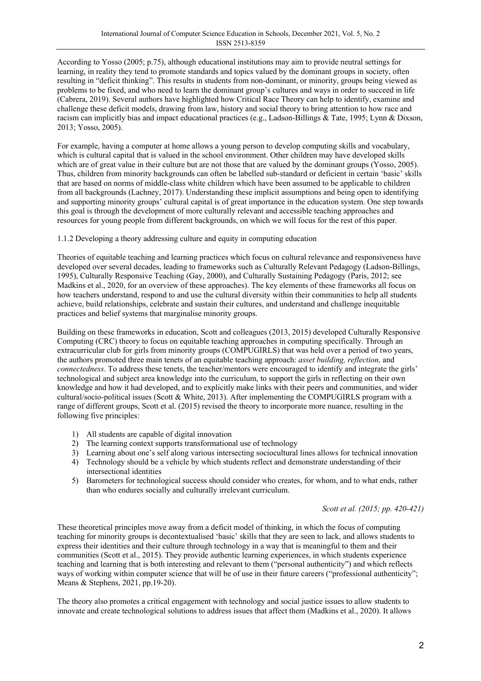According to Yosso (2005; p.75), although educational institutions may aim to provide neutral settings for learning, in reality they tend to promote standards and topics valued by the dominant groups in society, often resulting in "deficit thinking". This results in students from non-dominant, or minority, groups being viewed as problems to be fixed, and who need to learn the dominant group's cultures and ways in order to succeed in life (Cabrera, 2019). Several authors have highlighted how Critical Race Theory can help to identify, examine and challenge these deficit models, drawing from law, history and social theory to bring attention to how race and racism can implicitly bias and impact educational practices (e.g., Ladson-Billings & Tate, 1995; Lynn & Dixson, 2013; Yosso, 2005).

For example, having a computer at home allows a young person to develop computing skills and vocabulary, which is cultural capital that is valued in the school environment. Other children may have developed skills which are of great value in their culture but are not those that are valued by the dominant groups (Yosso, 2005). Thus, children from minority backgrounds can often be labelled sub-standard or deficient in certain 'basic' skills that are based on norms of middle-class white children which have been assumed to be applicable to children from all backgrounds (Lachney, 2017). Understanding these implicit assumptions and being open to identifying and supporting minority groups' cultural capital is of great importance in the education system. One step towards this goal is through the development of more culturally relevant and accessible teaching approaches and resources for young people from different backgrounds, on which we will focus for the rest of this paper.

1.1.2 Developing a theory addressing culture and equity in computing education

Theories of equitable teaching and learning practices which focus on cultural relevance and responsiveness have developed over several decades, leading to frameworks such as Culturally Relevant Pedagogy (Ladson-Billings, 1995), Culturally Responsive Teaching (Gay, 2000), and Culturally Sustaining Pedagogy (Paris, 2012; see Madkins et al., 2020, for an overview of these approaches). The key elements of these frameworks all focus on how teachers understand, respond to and use the cultural diversity within their communities to help all students achieve, build relationships, celebrate and sustain their cultures, and understand and challenge inequitable practices and belief systems that marginalise minority groups.

Building on these frameworks in education, Scott and colleagues (2013, 2015) developed Culturally Responsive Computing (CRC) theory to focus on equitable teaching approaches in computing specifically. Through an extracurricular club for girls from minority groups (COMPUGIRLS) that was held over a period of two years, the authors promoted three main tenets of an equitable teaching approach: *asset building, reflection,* and *connectedness*. To address these tenets, the teacher/mentors were encouraged to identify and integrate the girls' technological and subject area knowledge into the curriculum, to support the girls in reflecting on their own knowledge and how it had developed, and to explicitly make links with their peers and communities, and wider cultural/socio-political issues (Scott & White, 2013). After implementing the COMPUGIRLS program with a range of different groups, Scott et al. (2015) revised the theory to incorporate more nuance, resulting in the following five principles:

- 1) All students are capable of digital innovation
- 2) The learning context supports transformational use of technology
- 3) Learning about one's self along various intersecting sociocultural lines allows for technical innovation
- 4) Technology should be a vehicle by which students reflect and demonstrate understanding of their intersectional identities
- 5) Barometers for technological success should consider who creates, for whom, and to what ends, rather than who endures socially and culturally irrelevant curriculum.

*Scott et al. (2015; pp. 420-421)*

These theoretical principles move away from a deficit model of thinking, in which the focus of computing teaching for minority groups is decontextualised 'basic' skills that they are seen to lack, and allows students to express their identities and their culture through technology in a way that is meaningful to them and their communities (Scott et al., 2015). They provide authentic learning experiences, in which students experience teaching and learning that is both interesting and relevant to them ("personal authenticity") and which reflects ways of working within computer science that will be of use in their future careers ("professional authenticity"; Means & Stephens, 2021, pp.19-20).

The theory also promotes a critical engagement with technology and social justice issues to allow students to innovate and create technological solutions to address issues that affect them (Madkins et al., 2020). It allows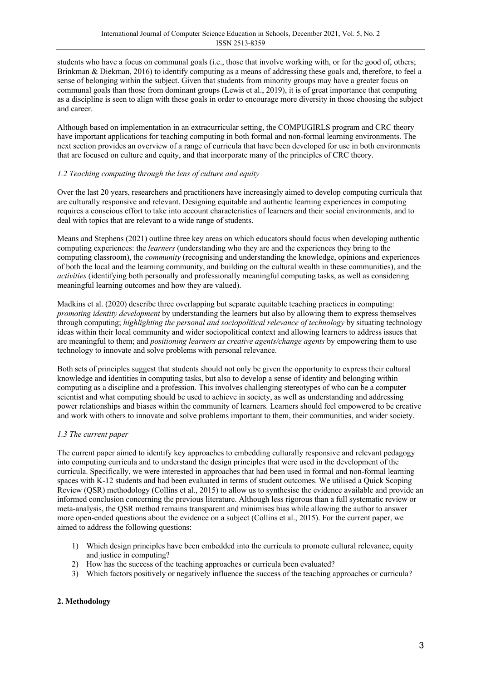students who have a focus on communal goals (i.e., those that involve working with, or for the good of, others; Brinkman & Diekman, 2016) to identify computing as a means of addressing these goals and, therefore, to feel a sense of belonging within the subject. Given that students from minority groups may have a greater focus on communal goals than those from dominant groups (Lewis et al., 2019), it is of great importance that computing as a discipline is seen to align with these goals in order to encourage more diversity in those choosing the subject and career.

Although based on implementation in an extracurricular setting, the COMPUGIRLS program and CRC theory have important applications for teaching computing in both formal and non-formal learning environments. The next section provides an overview of a range of curricula that have been developed for use in both environments that are focused on culture and equity, and that incorporate many of the principles of CRC theory.

## *1.2 Teaching computing through the lens of culture and equity*

Over the last 20 years, researchers and practitioners have increasingly aimed to develop computing curricula that are culturally responsive and relevant. Designing equitable and authentic learning experiences in computing requires a conscious effort to take into account characteristics of learners and their social environments, and to deal with topics that are relevant to a wide range of students.

Means and Stephens (2021) outline three key areas on which educators should focus when developing authentic computing experiences: the *learners* (understanding who they are and the experiences they bring to the computing classroom), the *community* (recognising and understanding the knowledge, opinions and experiences of both the local and the learning community, and building on the cultural wealth in these communities), and the *activities* (identifying both personally and professionally meaningful computing tasks, as well as considering meaningful learning outcomes and how they are valued).

Madkins et al. (2020) describe three overlapping but separate equitable teaching practices in computing: *promoting identity development* by understanding the learners but also by allowing them to express themselves through computing; *highlighting the personal and sociopolitical relevance of technology* by situating technology ideas within their local community and wider sociopolitical context and allowing learners to address issues that are meaningful to them; and *positioning learners as creative agents/change agents* by empowering them to use technology to innovate and solve problems with personal relevance.

Both sets of principles suggest that students should not only be given the opportunity to express their cultural knowledge and identities in computing tasks, but also to develop a sense of identity and belonging within computing as a discipline and a profession. This involves challenging stereotypes of who can be a computer scientist and what computing should be used to achieve in society, as well as understanding and addressing power relationships and biases within the community of learners. Learners should feel empowered to be creative and work with others to innovate and solve problems important to them, their communities, and wider society.

## *1.3 The current paper*

The current paper aimed to identify key approaches to embedding culturally responsive and relevant pedagogy into computing curricula and to understand the design principles that were used in the development of the curricula. Specifically, we were interested in approaches that had been used in formal and non-formal learning spaces with K-12 students and had been evaluated in terms of student outcomes. We utilised a Quick Scoping Review (QSR) methodology (Collins et al., 2015) to allow us to synthesise the evidence available and provide an informed conclusion concerning the previous literature. Although less rigorous than a full systematic review or meta-analysis, the QSR method remains transparent and minimises bias while allowing the author to answer more open-ended questions about the evidence on a subject (Collins et al., 2015). For the current paper, we aimed to address the following questions:

- 1) Which design principles have been embedded into the curricula to promote cultural relevance, equity and justice in computing?
- 2) How has the success of the teaching approaches or curricula been evaluated?
- 3) Which factors positively or negatively influence the success of the teaching approaches or curricula?

#### **2. Methodology**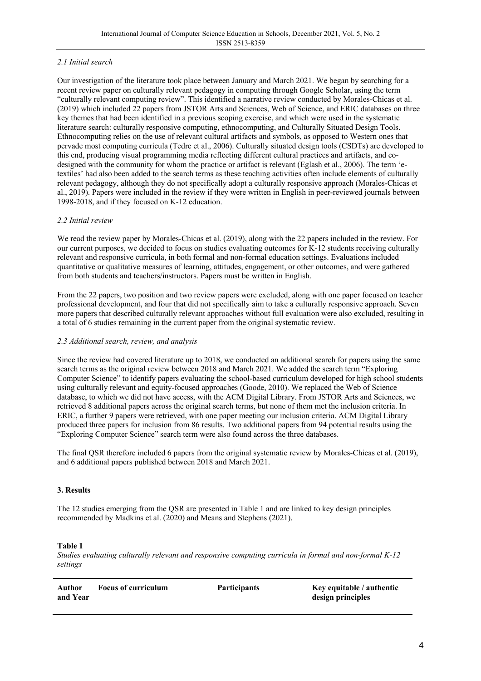## *2.1 Initial search*

Our investigation of the literature took place between January and March 2021. We began by searching for a recent review paper on culturally relevant pedagogy in computing through Google Scholar, using the term "culturally relevant computing review". This identified a narrative review conducted by Morales-Chicas et al. (2019) which included 22 papers from JSTOR Arts and Sciences, Web of Science, and ERIC databases on three key themes that had been identified in a previous scoping exercise, and which were used in the systematic literature search: culturally responsive computing, ethnocomputing, and Culturally Situated Design Tools. Ethnocomputing relies on the use of relevant cultural artifacts and symbols, as opposed to Western ones that pervade most computing curricula (Tedre et al., 2006). Culturally situated design tools (CSDTs) are developed to this end, producing visual programming media reflecting different cultural practices and artifacts, and codesigned with the community for whom the practice or artifact is relevant (Eglash et al., 2006). The term 'etextiles' had also been added to the search terms as these teaching activities often include elements of culturally relevant pedagogy, although they do not specifically adopt a culturally responsive approach (Morales-Chicas et al., 2019). Papers were included in the review if they were written in English in peer-reviewed journals between 1998-2018, and if they focused on K-12 education.

## *2.2 Initial review*

We read the review paper by Morales-Chicas et al. (2019), along with the 22 papers included in the review. For our current purposes, we decided to focus on studies evaluating outcomes for K-12 students receiving culturally relevant and responsive curricula, in both formal and non-formal education settings. Evaluations included quantitative or qualitative measures of learning, attitudes, engagement, or other outcomes, and were gathered from both students and teachers/instructors. Papers must be written in English.

From the 22 papers, two position and two review papers were excluded, along with one paper focused on teacher professional development, and four that did not specifically aim to take a culturally responsive approach. Seven more papers that described culturally relevant approaches without full evaluation were also excluded, resulting in a total of 6 studies remaining in the current paper from the original systematic review.

## *2.3 Additional search, review, and analysis*

Since the review had covered literature up to 2018, we conducted an additional search for papers using the same search terms as the original review between 2018 and March 2021. We added the search term "Exploring Computer Science" to identify papers evaluating the school-based curriculum developed for high school students using culturally relevant and equity-focused approaches (Goode, 2010). We replaced the Web of Science database, to which we did not have access, with the ACM Digital Library. From JSTOR Arts and Sciences, we retrieved 8 additional papers across the original search terms, but none of them met the inclusion criteria. In ERIC, a further 9 papers were retrieved, with one paper meeting our inclusion criteria. ACM Digital Library produced three papers for inclusion from 86 results. Two additional papers from 94 potential results using the "Exploring Computer Science" search term were also found across the three databases.

The final QSR therefore included 6 papers from the original systematic review by Morales-Chicas et al. (2019), and 6 additional papers published between 2018 and March 2021.

## **3. Results**

The 12 studies emerging from the QSR are presented in Table 1 and are linked to key design principles recommended by Madkins et al. (2020) and Means and Stephens (2021).

#### **Table 1**

*Studies evaluating culturally relevant and responsive computing curricula in formal and non-formal K-12 settings*

| Author   | <b>Focus of curriculum</b> | <b>Participants</b> | Key equitable / authentic |
|----------|----------------------------|---------------------|---------------------------|
| and Year |                            |                     | design principles         |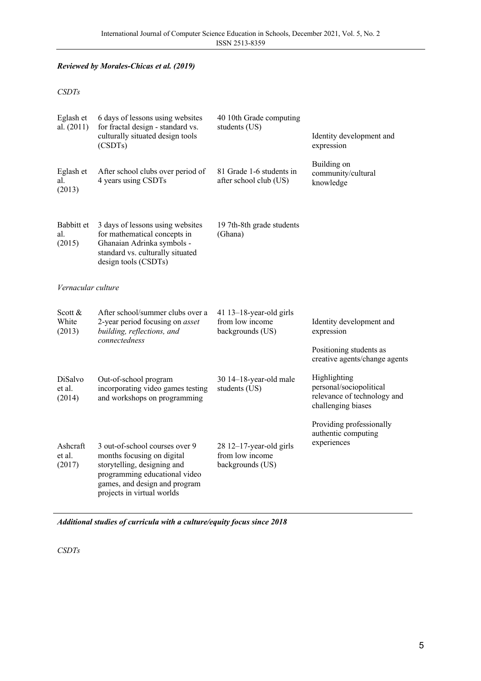## *Reviewed by Morales-Chicas et al. (2019)*

## *CSDTs*

| Eglash et<br>al. (2011)       | 6 days of lessons using websites<br>for fractal design - standard vs.<br>culturally situated design tools<br>(CSDTs)                                                                        | 40 10th Grade computing<br>students (US)                          | Identity development and<br>expression                                                             |  |  |  |
|-------------------------------|---------------------------------------------------------------------------------------------------------------------------------------------------------------------------------------------|-------------------------------------------------------------------|----------------------------------------------------------------------------------------------------|--|--|--|
| Eglash et<br>al.<br>(2013)    | After school clubs over period of<br>4 years using CSDTs                                                                                                                                    | 81 Grade 1-6 students in<br>after school club (US)                | Building on<br>community/cultural<br>knowledge                                                     |  |  |  |
| Babbitt et<br>al.<br>(2015)   | 3 days of lessons using websites<br>for mathematical concepts in<br>Ghanaian Adrinka symbols -<br>standard vs. culturally situated<br>design tools (CSDTs)                                  | 19 7th-8th grade students<br>(Ghana)                              |                                                                                                    |  |  |  |
| Vernacular culture            |                                                                                                                                                                                             |                                                                   |                                                                                                    |  |  |  |
| Scott $\&$<br>White<br>(2013) | After school/summer clubs over a<br>2-year period focusing on <i>asset</i><br>building, reflections, and<br>connectedness                                                                   | 41 $13-18$ -year-old girls<br>from low income<br>backgrounds (US) | Identity development and<br>expression<br>Positioning students as<br>creative agents/change agents |  |  |  |
| DiSalvo<br>et al.<br>(2014)   | Out-of-school program<br>incorporating video games testing<br>and workshops on programming                                                                                                  | 30 14-18-year-old male<br>students (US)                           | Highlighting<br>personal/sociopolitical<br>relevance of technology and<br>challenging biases       |  |  |  |
| Ashcraft<br>et al.<br>(2017)  | 3 out-of-school courses over 9<br>months focusing on digital<br>storytelling, designing and<br>programming educational video<br>games, and design and program<br>projects in virtual worlds | $28$ 12-17-year-old girls<br>from low income<br>backgrounds (US)  | Providing professionally<br>authentic computing<br>experiences                                     |  |  |  |

*Additional studies of curricula with a culture/equity focus since 2018*

*CSDTs*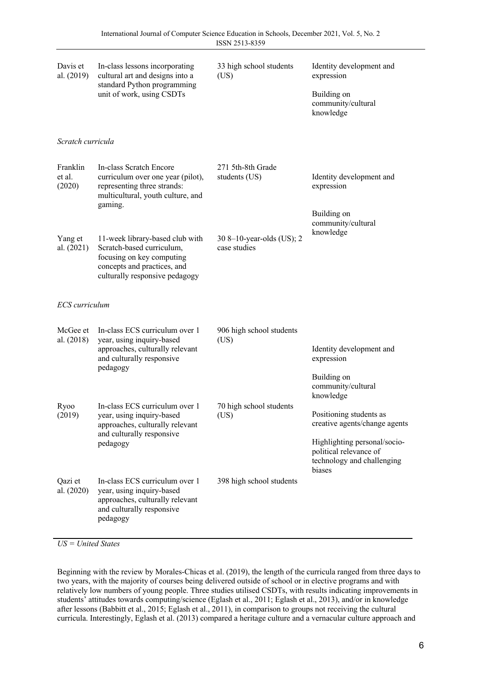| Davis et<br>al. (2019)       | In-class lessons incorporating<br>cultural art and designs into a<br>standard Python programming<br>unit of work, using CSDTs                              | 33 high school students<br>(US)           | Identity development and<br>expression<br>Building on<br>community/cultural<br>knowledge                                                                                |  |
|------------------------------|------------------------------------------------------------------------------------------------------------------------------------------------------------|-------------------------------------------|-------------------------------------------------------------------------------------------------------------------------------------------------------------------------|--|
| Scratch curricula            |                                                                                                                                                            |                                           |                                                                                                                                                                         |  |
| Franklin<br>et al.<br>(2020) | In-class Scratch Encore<br>curriculum over one year (pilot),<br>representing three strands:<br>multicultural, youth culture, and<br>gaming.                | 271 5th-8th Grade<br>students (US)        | Identity development and<br>expression<br>Building on                                                                                                                   |  |
| Yang et<br>al. (2021)        | 11-week library-based club with<br>Scratch-based curriculum,<br>focusing on key computing<br>concepts and practices, and<br>culturally responsive pedagogy | 30 8-10-year-olds (US); 2<br>case studies | community/cultural<br>knowledge                                                                                                                                         |  |
| ECS curriculum               |                                                                                                                                                            |                                           |                                                                                                                                                                         |  |
| McGee et<br>al. (2018)       | In-class ECS curriculum over 1<br>year, using inquiry-based<br>approaches, culturally relevant<br>and culturally responsive<br>pedagogy                    | 906 high school students<br>(US)          | Identity development and<br>expression<br>Building on<br>community/cultural                                                                                             |  |
| Ryoo<br>(2019)               | In-class ECS curriculum over 1<br>year, using inquiry-based<br>approaches, culturally relevant<br>and culturally responsive<br>pedagogy                    | 70 high school students<br>(US)           | knowledge<br>Positioning students as<br>creative agents/change agents<br>Highlighting personal/socio-<br>political relevance of<br>technology and challenging<br>biases |  |
| Qazi et<br>al. (2020)        | In-class ECS curriculum over 1<br>year, using inquiry-based<br>approaches, culturally relevant<br>and culturally responsive<br>pedagogy                    | 398 high school students                  |                                                                                                                                                                         |  |

*US = United States*

Beginning with the review by Morales-Chicas et al. (2019), the length of the curricula ranged from three days to two years, with the majority of courses being delivered outside of school or in elective programs and with relatively low numbers of young people. Three studies utilised CSDTs, with results indicating improvements in students' attitudes towards computing/science (Eglash et al., 2011; Eglash et al., 2013), and/or in knowledge after lessons (Babbitt et al., 2015; Eglash et al., 2011), in comparison to groups not receiving the cultural curricula. Interestingly, Eglash et al. (2013) compared a heritage culture and a vernacular culture approach and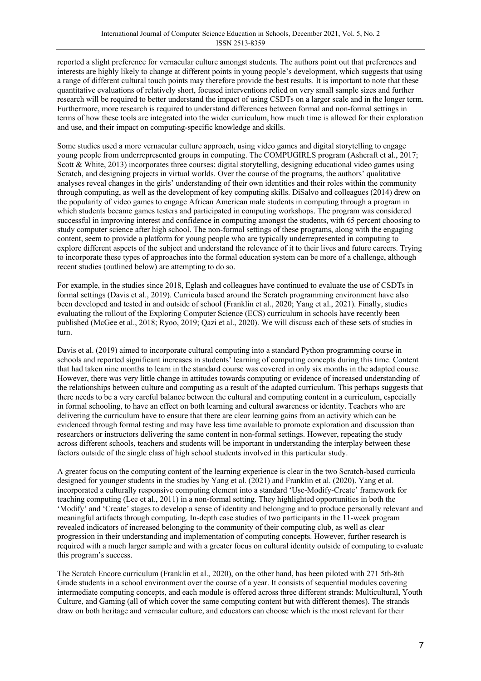reported a slight preference for vernacular culture amongst students. The authors point out that preferences and interests are highly likely to change at different points in young people's development, which suggests that using a range of different cultural touch points may therefore provide the best results. It is important to note that these quantitative evaluations of relatively short, focused interventions relied on very small sample sizes and further research will be required to better understand the impact of using CSDTs on a larger scale and in the longer term. Furthermore, more research is required to understand differences between formal and non-formal settings in terms of how these tools are integrated into the wider curriculum, how much time is allowed for their exploration and use, and their impact on computing-specific knowledge and skills.

Some studies used a more vernacular culture approach, using video games and digital storytelling to engage young people from underrepresented groups in computing. The COMPUGIRLS program (Ashcraft et al., 2017; Scott & White, 2013) incorporates three courses: digital storytelling, designing educational video games using Scratch, and designing projects in virtual worlds. Over the course of the programs, the authors' qualitative analyses reveal changes in the girls' understanding of their own identities and their roles within the community through computing, as well as the development of key computing skills. DiSalvo and colleagues (2014) drew on the popularity of video games to engage African American male students in computing through a program in which students became games testers and participated in computing workshops. The program was considered successful in improving interest and confidence in computing amongst the students, with 65 percent choosing to study computer science after high school. The non-formal settings of these programs, along with the engaging content, seem to provide a platform for young people who are typically underrepresented in computing to explore different aspects of the subject and understand the relevance of it to their lives and future careers. Trying to incorporate these types of approaches into the formal education system can be more of a challenge, although recent studies (outlined below) are attempting to do so.

For example, in the studies since 2018, Eglash and colleagues have continued to evaluate the use of CSDTs in formal settings (Davis et al., 2019). Curricula based around the Scratch programming environment have also been developed and tested in and outside of school (Franklin et al., 2020; Yang et al., 2021). Finally, studies evaluating the rollout of the Exploring Computer Science (ECS) curriculum in schools have recently been published (McGee et al., 2018; Ryoo, 2019; Qazi et al., 2020). We will discuss each of these sets of studies in turn.

Davis et al. (2019) aimed to incorporate cultural computing into a standard Python programming course in schools and reported significant increases in students' learning of computing concepts during this time. Content that had taken nine months to learn in the standard course was covered in only six months in the adapted course. However, there was very little change in attitudes towards computing or evidence of increased understanding of the relationships between culture and computing as a result of the adapted curriculum. This perhaps suggests that there needs to be a very careful balance between the cultural and computing content in a curriculum, especially in formal schooling, to have an effect on both learning and cultural awareness or identity. Teachers who are delivering the curriculum have to ensure that there are clear learning gains from an activity which can be evidenced through formal testing and may have less time available to promote exploration and discussion than researchers or instructors delivering the same content in non-formal settings. However, repeating the study across different schools, teachers and students will be important in understanding the interplay between these factors outside of the single class of high school students involved in this particular study.

A greater focus on the computing content of the learning experience is clear in the two Scratch-based curricula designed for younger students in the studies by Yang et al. (2021) and Franklin et al. (2020). Yang et al. incorporated a culturally responsive computing element into a standard 'Use-Modify-Create' framework for teaching computing (Lee et al., 2011) in a non-formal setting. They highlighted opportunities in both the 'Modify' and 'Create' stages to develop a sense of identity and belonging and to produce personally relevant and meaningful artifacts through computing. In-depth case studies of two participants in the 11-week program revealed indicators of increased belonging to the community of their computing club, as well as clear progression in their understanding and implementation of computing concepts. However, further research is required with a much larger sample and with a greater focus on cultural identity outside of computing to evaluate this program's success.

The Scratch Encore curriculum (Franklin et al., 2020), on the other hand, has been piloted with 271 5th-8th Grade students in a school environment over the course of a year. It consists of sequential modules covering intermediate computing concepts, and each module is offered across three different strands: Multicultural, Youth Culture, and Gaming (all of which cover the same computing content but with different themes). The strands draw on both heritage and vernacular culture, and educators can choose which is the most relevant for their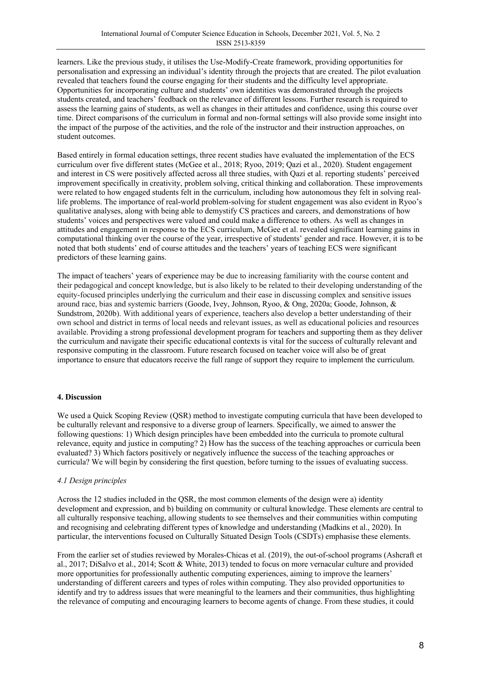learners. Like the previous study, it utilises the Use-Modify-Create framework, providing opportunities for personalisation and expressing an individual's identity through the projects that are created. The pilot evaluation revealed that teachers found the course engaging for their students and the difficulty level appropriate. Opportunities for incorporating culture and students' own identities was demonstrated through the projects students created, and teachers' feedback on the relevance of different lessons. Further research is required to assess the learning gains of students, as well as changes in their attitudes and confidence, using this course over time. Direct comparisons of the curriculum in formal and non-formal settings will also provide some insight into the impact of the purpose of the activities, and the role of the instructor and their instruction approaches, on student outcomes.

Based entirely in formal education settings, three recent studies have evaluated the implementation of the ECS curriculum over five different states (McGee et al., 2018; Ryoo, 2019; Qazi et al., 2020). Student engagement and interest in CS were positively affected across all three studies, with Qazi et al. reporting students' perceived improvement specifically in creativity, problem solving, critical thinking and collaboration. These improvements were related to how engaged students felt in the curriculum, including how autonomous they felt in solving reallife problems. The importance of real-world problem-solving for student engagement was also evident in Ryoo's qualitative analyses, along with being able to demystify CS practices and careers, and demonstrations of how students' voices and perspectives were valued and could make a difference to others. As well as changes in attitudes and engagement in response to the ECS curriculum, McGee et al. revealed significant learning gains in computational thinking over the course of the year, irrespective of students' gender and race. However, it is to be noted that both students' end of course attitudes and the teachers' years of teaching ECS were significant predictors of these learning gains.

The impact of teachers' years of experience may be due to increasing familiarity with the course content and their pedagogical and concept knowledge, but is also likely to be related to their developing understanding of the equity-focused principles underlying the curriculum and their ease in discussing complex and sensitive issues around race, bias and systemic barriers (Goode, Ivey, Johnson, Ryoo, & Ong, 2020a; Goode, Johnson, & Sundstrom, 2020b). With additional years of experience, teachers also develop a better understanding of their own school and district in terms of local needs and relevant issues, as well as educational policies and resources available. Providing a strong professional development program for teachers and supporting them as they deliver the curriculum and navigate their specific educational contexts is vital for the success of culturally relevant and responsive computing in the classroom. Future research focused on teacher voice will also be of great importance to ensure that educators receive the full range of support they require to implement the curriculum.

## **4. Discussion**

We used a Quick Scoping Review (QSR) method to investigate computing curricula that have been developed to be culturally relevant and responsive to a diverse group of learners. Specifically, we aimed to answer the following questions: 1) Which design principles have been embedded into the curricula to promote cultural relevance, equity and justice in computing? 2) How has the success of the teaching approaches or curricula been evaluated? 3) Which factors positively or negatively influence the success of the teaching approaches or curricula? We will begin by considering the first question, before turning to the issues of evaluating success.

#### *4.1 Design principles*

Across the 12 studies included in the QSR, the most common elements of the design were a) identity development and expression, and b) building on community or cultural knowledge. These elements are central to all culturally responsive teaching, allowing students to see themselves and their communities within computing and recognising and celebrating different types of knowledge and understanding (Madkins et al., 2020). In particular, the interventions focused on Culturally Situated Design Tools (CSDTs) emphasise these elements.

From the earlier set of studies reviewed by Morales-Chicas et al. (2019), the out-of-school programs (Ashcraft et al., 2017; DiSalvo et al., 2014; Scott & White, 2013) tended to focus on more vernacular culture and provided more opportunities for professionally authentic computing experiences, aiming to improve the learners' understanding of different careers and types of roles within computing. They also provided opportunities to identify and try to address issues that were meaningful to the learners and their communities, thus highlighting the relevance of computing and encouraging learners to become agents of change. From these studies, it could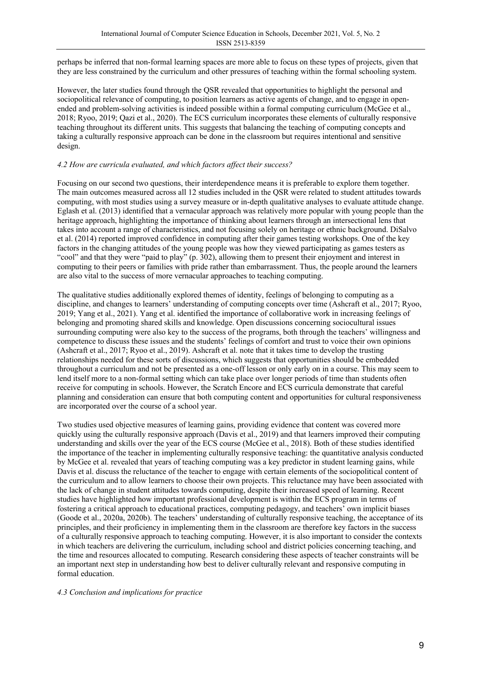perhaps be inferred that non-formal learning spaces are more able to focus on these types of projects, given that they are less constrained by the curriculum and other pressures of teaching within the formal schooling system.

However, the later studies found through the QSR revealed that opportunities to highlight the personal and sociopolitical relevance of computing, to position learners as active agents of change, and to engage in openended and problem-solving activities is indeed possible within a formal computing curriculum (McGee et al., 2018; Ryoo, 2019; Qazi et al., 2020). The ECS curriculum incorporates these elements of culturally responsive teaching throughout its different units. This suggests that balancing the teaching of computing concepts and taking a culturally responsive approach can be done in the classroom but requires intentional and sensitive design.

### *4.2 How are curricula evaluated, and which factors affect their success?*

Focusing on our second two questions, their interdependence means it is preferable to explore them together. The main outcomes measured across all 12 studies included in the QSR were related to student attitudes towards computing, with most studies using a survey measure or in-depth qualitative analyses to evaluate attitude change. Eglash et al. (2013) identified that a vernacular approach was relatively more popular with young people than the heritage approach, highlighting the importance of thinking about learners through an intersectional lens that takes into account a range of characteristics, and not focusing solely on heritage or ethnic background. DiSalvo et al. (2014) reported improved confidence in computing after their games testing workshops. One of the key factors in the changing attitudes of the young people was how they viewed participating as games testers as "cool" and that they were "paid to play" (p. 302), allowing them to present their enjoyment and interest in computing to their peers or families with pride rather than embarrassment. Thus, the people around the learners are also vital to the success of more vernacular approaches to teaching computing.

The qualitative studies additionally explored themes of identity, feelings of belonging to computing as a discipline, and changes to learners' understanding of computing concepts over time (Ashcraft et al., 2017; Ryoo, 2019; Yang et al., 2021). Yang et al. identified the importance of collaborative work in increasing feelings of belonging and promoting shared skills and knowledge. Open discussions concerning sociocultural issues surrounding computing were also key to the success of the programs, both through the teachers' willingness and competence to discuss these issues and the students' feelings of comfort and trust to voice their own opinions (Ashcraft et al., 2017; Ryoo et al., 2019). Ashcraft et al. note that it takes time to develop the trusting relationships needed for these sorts of discussions, which suggests that opportunities should be embedded throughout a curriculum and not be presented as a one-off lesson or only early on in a course. This may seem to lend itself more to a non-formal setting which can take place over longer periods of time than students often receive for computing in schools. However, the Scratch Encore and ECS curricula demonstrate that careful planning and consideration can ensure that both computing content and opportunities for cultural responsiveness are incorporated over the course of a school year.

Two studies used objective measures of learning gains, providing evidence that content was covered more quickly using the culturally responsive approach (Davis et al., 2019) and that learners improved their computing understanding and skills over the year of the ECS course (McGee et al., 2018). Both of these studies identified the importance of the teacher in implementing culturally responsive teaching: the quantitative analysis conducted by McGee et al. revealed that years of teaching computing was a key predictor in student learning gains, while Davis et al. discuss the reluctance of the teacher to engage with certain elements of the sociopolitical content of the curriculum and to allow learners to choose their own projects. This reluctance may have been associated with the lack of change in student attitudes towards computing, despite their increased speed of learning. Recent studies have highlighted how important professional development is within the ECS program in terms of fostering a critical approach to educational practices, computing pedagogy, and teachers' own implicit biases (Goode et al., 2020a, 2020b). The teachers' understanding of culturally responsive teaching, the acceptance of its principles, and their proficiency in implementing them in the classroom are therefore key factors in the success of a culturally responsive approach to teaching computing. However, it is also important to consider the contexts in which teachers are delivering the curriculum, including school and district policies concerning teaching, and the time and resources allocated to computing. Research considering these aspects of teacher constraints will be an important next step in understanding how best to deliver culturally relevant and responsive computing in formal education.

#### *4.3 Conclusion and implications for practice*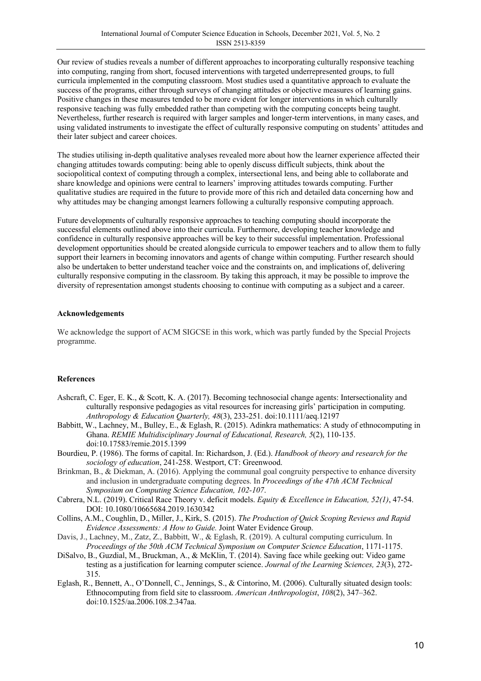Our review of studies reveals a number of different approaches to incorporating culturally responsive teaching into computing, ranging from short, focused interventions with targeted underrepresented groups, to full curricula implemented in the computing classroom. Most studies used a quantitative approach to evaluate the success of the programs, either through surveys of changing attitudes or objective measures of learning gains. Positive changes in these measures tended to be more evident for longer interventions in which culturally responsive teaching was fully embedded rather than competing with the computing concepts being taught. Nevertheless, further research is required with larger samples and longer-term interventions, in many cases, and using validated instruments to investigate the effect of culturally responsive computing on students' attitudes and their later subject and career choices.

The studies utilising in-depth qualitative analyses revealed more about how the learner experience affected their changing attitudes towards computing: being able to openly discuss difficult subjects, think about the sociopolitical context of computing through a complex, intersectional lens, and being able to collaborate and share knowledge and opinions were central to learners' improving attitudes towards computing. Further qualitative studies are required in the future to provide more of this rich and detailed data concerning how and why attitudes may be changing amongst learners following a culturally responsive computing approach.

Future developments of culturally responsive approaches to teaching computing should incorporate the successful elements outlined above into their curricula. Furthermore, developing teacher knowledge and confidence in culturally responsive approaches will be key to their successful implementation. Professional development opportunities should be created alongside curricula to empower teachers and to allow them to fully support their learners in becoming innovators and agents of change within computing. Further research should also be undertaken to better understand teacher voice and the constraints on, and implications of, delivering culturally responsive computing in the classroom. By taking this approach, it may be possible to improve the diversity of representation amongst students choosing to continue with computing as a subject and a career.

#### **Acknowledgements**

We acknowledge the support of ACM SIGCSE in this work, which was partly funded by the Special Projects programme.

#### **References**

- Ashcraft, C. Eger, E. K., & Scott, K. A. (2017). Becoming technosocial change agents: Intersectionality and culturally responsive pedagogies as vital resources for increasing girls' participation in computing. *Anthropology & Education Quarterly, 48*(3), 233-251. doi:10.1111/aeq.12197
- Babbitt, W., Lachney, M., Bulley, E., & Eglash, R. (2015). Adinkra mathematics: A study of ethnocomputing in Ghana. *REMIE Multidisciplinary Journal of Educational, Research, 5*(2), 110-135. doi:10.17583/remie.2015.1399
- Bourdieu, P. (1986). The forms of capital. In: Richardson, J. (Ed.). *Handbook of theory and research for the sociology of education*, 241-258. Westport, CT: Greenwood.
- Brinkman, B., & Diekman, A. (2016). Applying the communal goal congruity perspective to enhance diversity and inclusion in undergraduate computing degrees. In *Proceedings of the 47th ACM Technical Symposium on Computing Science Education, 102-107*.
- Cabrera, N.L. (2019). Critical Race Theory v. deficit models. *Equity & Excellence in Education, 52(1)*, 47-54. DOI: 10.1080/10665684.2019.1630342
- Collins, A.M., Coughlin, D., Miller, J., Kirk, S. (2015). *The Production of Quick Scoping Reviews and Rapid Evidence Assessments: A How to Guide.* Joint Water Evidence Group.
- Davis, J., Lachney, M., Zatz, Z., Babbitt, W., & Eglash, R. (2019). A cultural computing curriculum. In *Proceedings of the 50th ACM Technical Symposium on Computer Science Education*, 1171-1175.
- DiSalvo, B., Guzdial, M., Bruckman, A., & McKlin, T. (2014). Saving face while geeking out: Video game testing as a justification for learning computer science. *Journal of the Learning Sciences, 23*(3), 272- 315.
- Eglash, R., Bennett, A., O'Donnell, C., Jennings, S., & Cintorino, M. (2006). Culturally situated design tools: Ethnocomputing from field site to classroom. *American Anthropologist*, *108*(2), 347–362. doi:10.1525/aa.2006.108.2.347aa.